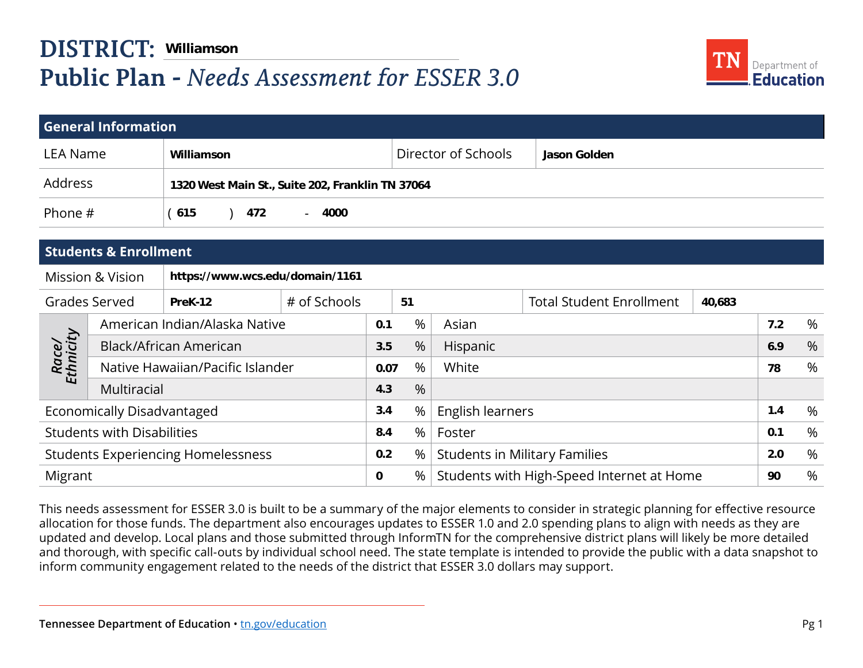## **DISTRICT: Public Plan -** *Needs Assessment for ESSER 3.0*



|                                                     |                                  | <b>DISTRICT: Williamson</b>     |                                                  |      |                                                 |          |     |                                   |      |   |
|-----------------------------------------------------|----------------------------------|---------------------------------|--------------------------------------------------|------|-------------------------------------------------|----------|-----|-----------------------------------|------|---|
| <b>Public Plan - Needs Assessment for ESSER 3.0</b> |                                  |                                 |                                                  |      |                                                 |          |     | Department of<br><b>Education</b> |      |   |
|                                                     |                                  |                                 |                                                  |      |                                                 |          |     |                                   |      |   |
|                                                     | <b>General Information</b>       |                                 |                                                  |      |                                                 |          |     |                                   |      |   |
| <b>LEA Name</b>                                     |                                  | Williamson                      |                                                  |      | Director of Schools<br>Jason Golden             |          |     |                                   |      |   |
| Address                                             |                                  |                                 | 1320 West Main St., Suite 202, Franklin TN 37064 |      |                                                 |          |     |                                   |      |   |
| Phone #                                             |                                  | (615)<br>472                    | 4000<br>$\sim$                                   |      |                                                 |          |     |                                   |      |   |
|                                                     |                                  |                                 |                                                  |      |                                                 |          |     |                                   |      |   |
|                                                     | <b>Students &amp; Enrollment</b> |                                 |                                                  |      |                                                 |          |     |                                   |      |   |
|                                                     | <b>Mission &amp; Vision</b>      | https://www.wcs.edu/domain/1161 |                                                  |      |                                                 |          |     |                                   |      |   |
| <b>Grades Served</b><br># of Schools<br>PreK-12     |                                  |                                 | 51                                               |      | <b>Total Student Enrollment</b>                 | 40,683   |     |                                   |      |   |
|                                                     | American Indian/Alaska Native    |                                 |                                                  | 0.1  | %                                               | Asian    |     |                                   | 7.2  | % |
|                                                     | Black/African American           |                                 |                                                  | 3.5  | %                                               | Hispanic |     |                                   | 6.9  | % |
| Race/<br>Ethnicity                                  | Native Hawaiian/Pacific Islander |                                 |                                                  | 0.07 | %                                               | White    |     |                                   | 78   | % |
|                                                     | Multiracial                      |                                 |                                                  | 4.3  | %                                               |          |     |                                   |      |   |
| Economically Disadvantaged                          |                                  |                                 | 3.4                                              | %    | English learners                                |          |     | 1.4                               | $\%$ |   |
| <b>Students with Disabilities</b>                   |                                  |                                 | 8.4                                              | $\%$ | Foster                                          |          |     | 0.1                               | %    |   |
| <b>Students Experiencing Homelessness</b>           |                                  |                                 | 0.2                                              | %    | <b>Students in Military Families</b>            |          | 2.0 | %                                 |      |   |
| Migrant                                             |                                  |                                 | 0                                                | %    | Students with High-Speed Internet at Home<br>90 |          |     | %                                 |      |   |

This needs assessment for ESSER 3.0 is built to be a summary of the major elements to consider in strategic planning for effective resource allocation for those funds. The department also encourages updates to ESSER 1.0 and 2.0 spending plans to align with needs as they are updated and develop. Local plans and those submitted through InformTN for the comprehensive district plans will likely be more detailed and thorough, with specific call-outs by individual school need. The state template is intended to provide the public with a data snapshot to inform community engagement related to the needs of the district that ESSER 3.0 dollars may support.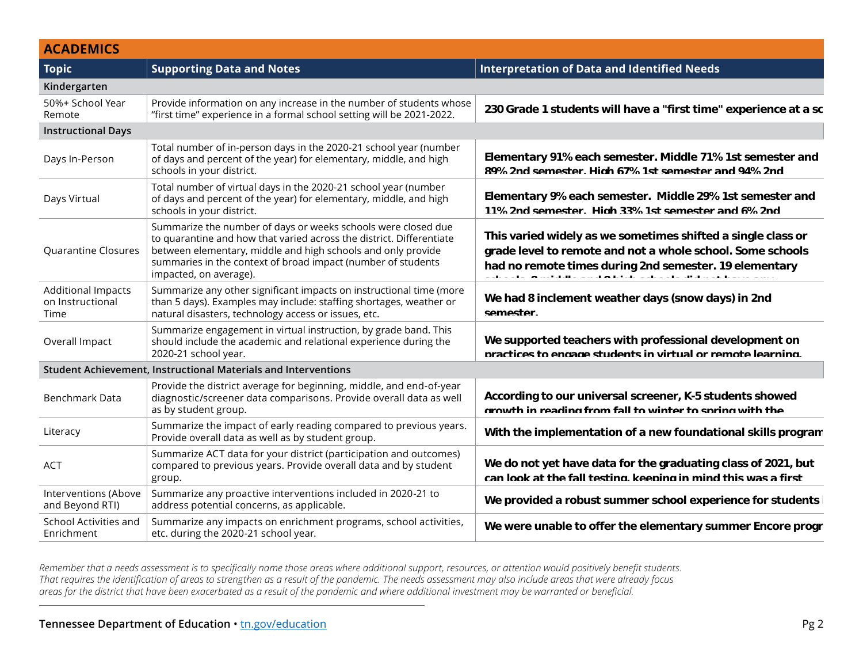| <b>ACADEMICS</b>                               |                                                                                                                                                                                                                                                                                                                              |                                                                                                                                                                                                                                      |
|------------------------------------------------|------------------------------------------------------------------------------------------------------------------------------------------------------------------------------------------------------------------------------------------------------------------------------------------------------------------------------|--------------------------------------------------------------------------------------------------------------------------------------------------------------------------------------------------------------------------------------|
| <b>Topic</b>                                   | <b>Supporting Data and Notes</b>                                                                                                                                                                                                                                                                                             | $\mid$ Interpretation of Data and Identified Needs                                                                                                                                                                                   |
| Kindergarten                                   |                                                                                                                                                                                                                                                                                                                              |                                                                                                                                                                                                                                      |
| 50%+ School Year<br>Remote                     | Provide information on any increase in the number of students whose<br>"first time" experience in a formal school setting will be 2021-2022.                                                                                                                                                                                 | 230 Grade 1 students will have a "first time" experience at a sc                                                                                                                                                                     |
| <b>Instructional Days</b>                      |                                                                                                                                                                                                                                                                                                                              |                                                                                                                                                                                                                                      |
| Days In-Person                                 | Total number of in-person days in the 2020-21 school year (number<br>$\mid$ of days and percent of the year) for elementary, middle, and high $\mid$<br>schools in your district.                                                                                                                                            | Elementary 91% each semester. Middle 71% 1st semester and<br>89% 2nd semester Hinh 67% 1st semester and 94% 2nd                                                                                                                      |
| Days Virtual                                   | Total number of virtual days in the 2020-21 school year (number<br>$\mid$ of days and percent of the year) for elementary, middle, and high $\mid$<br>schools in your district.                                                                                                                                              | Elementary 9% each semester. Middle 29% 1st semester and<br>11% 2nd semester Hinh 33% 1st semester and 6% 2nd                                                                                                                        |
|                                                | Summarize the number of days or weeks schools were closed due<br>to quarantine and how that varied across the district. Differentiate<br>Quarantine Closures   between elementary, middle and high schools and only provide<br>summaries in the context of broad impact (number of students<br>$\mid$ impacted, on average). | This varied widely as we sometimes shifted a single class or<br>grade level to remote and not a whole school. Some schools<br>had no remote times during 2nd semester. 19 elementary<br>المتكافحة والمعارفة وفقهم السفق لهاء والمعار |
| Additional Impacts<br>on Instructional<br>Time | Summarize any other significant impacts on instructional time (more<br>than 5 days). Examples may include: staffing shortages, weather or<br>natural disasters, technology access or issues, etc.                                                                                                                            | We had 8 inclement weather days (snow days) in 2nd<br>semester                                                                                                                                                                       |
| Overall Impact                                 | Summarize engagement in virtual instruction, by grade band. This<br>should include the academic and relational experience during the<br>2020-21 school year.                                                                                                                                                                 | We supported teachers with professional development on<br>nractices to engage students in virtual or remote learning                                                                                                                 |
|                                                | Student Achievement, Instructional Materials and Interventions                                                                                                                                                                                                                                                               |                                                                                                                                                                                                                                      |
| Benchmark Data                                 | Provide the district average for beginning, middle, and end-of-year<br>diagnostic/screener data comparisons. Provide overall data as well<br>as by student group.                                                                                                                                                            | According to our universal screener, K-5 students showed<br>arowth in reading from fall to winter to spring with the                                                                                                                 |
| Literacy                                       | $\mid$ Summarize the impact of early reading compared to previous years.<br>Provide overall data as well as by student group.                                                                                                                                                                                                | With the implementation of a new foundational skills program                                                                                                                                                                         |
| <b>ACT</b>                                     | Summarize ACT data for your district (participation and outcomes)<br>$\mid$ compared to previous years. Provide overall data and by student<br>grout                                                                                                                                                                         | We do not yet have data for the graduating class of 2021, but<br>can look at the fall testing keeping in mind this was a first                                                                                                       |
| Interventions (Above<br>and Beyond RTI)        | Summarize any proactive interventions included in 2020-21 to<br>address potential concerns, as applicable.                                                                                                                                                                                                                   | We provided a robust summer school experience for students i                                                                                                                                                                         |
| School Activities and<br>Enrichmen             | Summarize any impacts on enrichment programs, school activities,<br>  etc. during the 2020-21 school year.                                                                                                                                                                                                                   | We were unable to offer the elementary summer Encore progr                                                                                                                                                                           |

*Remember that a needs assessment is to specifically name those areas where additional support, resources, or attention would positively benefit students. That requires the identification of areas to strengthen as a result of the pandemic. The needs assessment may also include areas that were already focus areas for the district that have been exacerbated as a result of the pandemic and where additional investment may be warranted or beneficial.* **have more students currently in need of Tier 2 and 3**  intervention would positively benefit stadents.<br>iaix also include areas that were already focus ent mav be warran **n** or attention would positively benefit students. **d** also include areas that were already focus **and may be wantuned or beneficial.**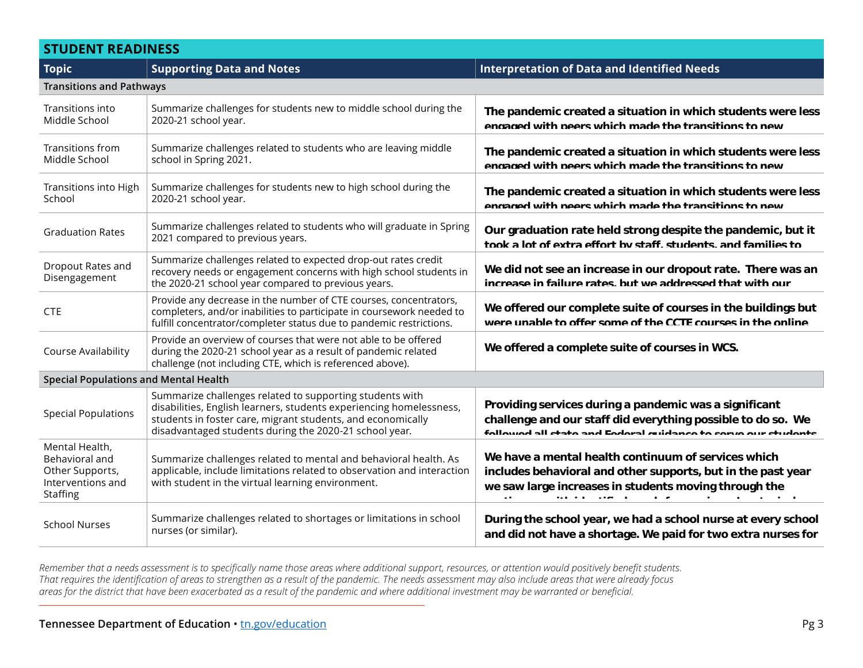## **STUDENT READINESS**

| <b>Topic</b>                                                                         | <b>Supporting Data and Notes</b>                                                                                                                                                                                                                         | <b>Interpretation of Data and Identified Needs</b>                                                                                                                                                                                       |  |  |
|--------------------------------------------------------------------------------------|----------------------------------------------------------------------------------------------------------------------------------------------------------------------------------------------------------------------------------------------------------|------------------------------------------------------------------------------------------------------------------------------------------------------------------------------------------------------------------------------------------|--|--|
| <b>Transitions and Pathways</b>                                                      |                                                                                                                                                                                                                                                          |                                                                                                                                                                                                                                          |  |  |
| Transitions into<br>Middle School                                                    | Summarize challenges for students new to middle school during the<br>2020-21 school year.                                                                                                                                                                | The pandemic created a situation in which students were less<br>engaged with peers which made the transitions to new                                                                                                                     |  |  |
| Transitions from<br>Middle School                                                    | Summarize challenges related to students who are leaving middle<br>school in Spring 2021.                                                                                                                                                                | The pandemic created a situation in which students were less<br>engaged with peers which made the transitions to new                                                                                                                     |  |  |
| Transitions into High<br>School                                                      | Summarize challenges for students new to high school during the<br>2020-21 school year.                                                                                                                                                                  | The pandemic created a situation in which students were less<br>engaged with peers which made the transitions to new                                                                                                                     |  |  |
| <b>Graduation Rates</b>                                                              | Summarize challenges related to students who will graduate in Spring<br>2021 compared to previous years.                                                                                                                                                 | Our graduation rate held strong despite the pandemic, but it<br>took a lot of extra effort by staff students and families to                                                                                                             |  |  |
| Dropout Rates and<br>Disengagement                                                   | Summarize challenges related to expected drop-out rates credit<br>recovery needs or engagement concerns with high school students in<br>the 2020-21 school year compared to previous years.                                                              | We did not see an increase in our dropout rate. There was an<br>increase in failure rates but we addressed that with our                                                                                                                 |  |  |
| <b>CTE</b>                                                                           | Provide any decrease in the number of CTE courses, concentrators,<br>completers, and/or inabilities to participate in coursework needed to<br>fulfill concentrator/completer status due to pandemic restrictions.                                        | We offered our complete suite of courses in the buildings but<br>were unable to offer some of the CCTE courses in the online                                                                                                             |  |  |
| Course Availability                                                                  | Provide an overview of courses that were not able to be offered<br>during the 2020-21 school year as a result of pandemic related<br>challenge (not including CTE, which is referenced above).                                                           | We offered a complete suite of courses in WCS.                                                                                                                                                                                           |  |  |
| <b>Special Populations and Mental Health</b>                                         |                                                                                                                                                                                                                                                          |                                                                                                                                                                                                                                          |  |  |
| <b>Special Populations</b>                                                           | Summarize challenges related to supporting students with<br>disabilities, English learners, students experiencing homelessness,<br>students in foster care, migrant students, and economically<br>disadvantaged students during the 2020-21 school year. | Providing services during a pandemic was a significant<br>challenge and our staff did everything possible to do so. We<br>followed all state and Eederal quidance to serve our students                                                  |  |  |
| Mental Health,<br>Behavioral and<br>Other Supports,<br>Interventions and<br>Staffing | Summarize challenges related to mental and behavioral health. As<br>applicable, include limitations related to observation and interaction<br>with student in the virtual learning environment.                                                          | We have a mental health continuum of services which<br>includes behavioral and other supports, but in the past year<br>we saw large increases in students moving through the<br>the state of the state of the<br>$\mathbf{r}=\mathbf{r}$ |  |  |
| <b>School Nurses</b>                                                                 | Summarize challenges related to shortages or limitations in school<br>nurses (or similar).                                                                                                                                                               | During the school year, we had a school nurse at every school<br>and did not have a shortage. We paid for two extra nurses for                                                                                                           |  |  |

*Remember that a needs assessment is to specifically name those areas where additional support, resources, or attention would positively benefit students. That requires the identification of areas to strengthen as a result of the pandemic. The needs assessment may also include areas that were already focus areas for the district that have been exacerbated as a result of the pandemic and where additional investment may be warranted or beneficial. f* **, or attention would positively benefit students. workers to provide the providence services to our students on campus**  $\mu$ ent may be warranted or beneficial. **f** and the individual original summer summer summer summer summer summer summer  $\alpha$  and  $\alpha$  are summer summer summer summer summer summer summer summer summer summer summer summer summer summer summer summer summer summ tay also include areas that were already focus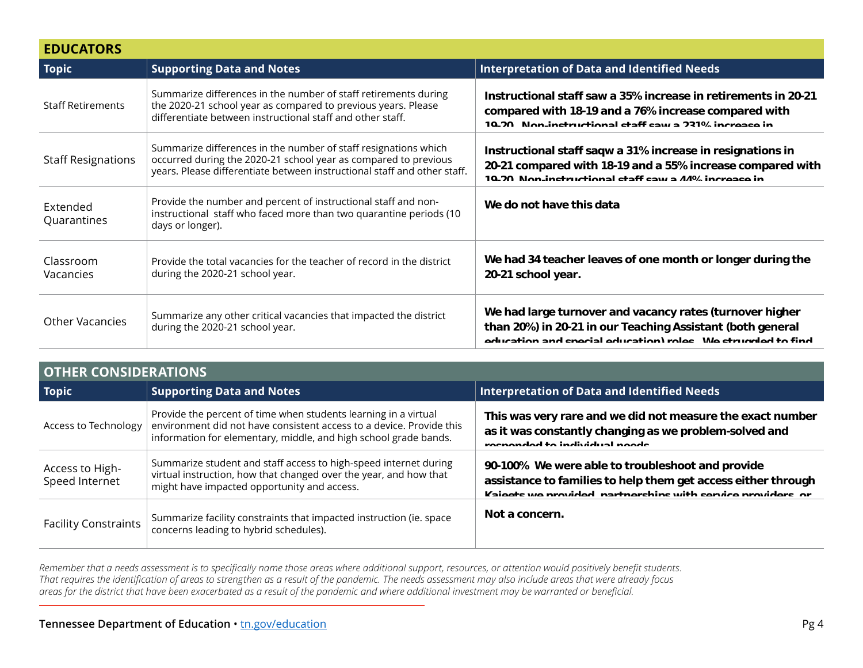| <b>EDUCATORS</b>          |                                                                                                                                                                                                                |                                                                                                                                                                                        |  |  |
|---------------------------|----------------------------------------------------------------------------------------------------------------------------------------------------------------------------------------------------------------|----------------------------------------------------------------------------------------------------------------------------------------------------------------------------------------|--|--|
| Topic                     | <b>Supporting Data and Notes</b>                                                                                                                                                                               | <b>Interpretation of Data and Identified Needs</b>                                                                                                                                     |  |  |
| <b>Staff Retirements</b>  | Summarize differences in the number of staff retirements during<br>the 2020-21 school year as compared to previous years. Please<br>differentiate between instructional staff and other staff.                 | Instructional staff saw a 35% increase in retirements in 20-21<br>compared with 18-19 and a 76% increase compared with<br>10.20 Non instructional staff saw a 221% increase in         |  |  |
| <b>Staff Resignations</b> | Summarize differences in the number of staff resignations which<br>occurred during the 2020-21 school year as compared to previous<br>years. Please differentiate between instructional staff and other staff. | Instructional staff saqw a 31% increase in resignations in<br>20-21 compared with 18-19 and a 55% increase compared with<br>10.20 Non-instructional staff saw a 44% increase in        |  |  |
| Extended<br>Quarantines   | Provide the number and percent of instructional staff and non-<br>instructional staff who faced more than two quarantine periods (10<br>days or longer).                                                       | We do not have this data                                                                                                                                                               |  |  |
| Classroom<br>Vacancies    | Provide the total vacancies for the teacher of record in the district<br>during the 2020-21 school year.                                                                                                       | We had 34 teacher leaves of one month or longer during the<br>20-21 school year.                                                                                                       |  |  |
| Other Vacancies           | Summarize any other critical vacancies that impacted the district<br>during the 2020-21 school year.                                                                                                           | We had large turnover and vacancy rates (turnover higher<br>than 20%) in 20-21 in our Teaching Assistant (both general<br>education and coecial education) roles. We struggled to find |  |  |

| <b>OTHER CONSIDERATIONS</b>       |                                                                                                                                                                                                             |                                                                                                                                                                                 |  |  |  |
|-----------------------------------|-------------------------------------------------------------------------------------------------------------------------------------------------------------------------------------------------------------|---------------------------------------------------------------------------------------------------------------------------------------------------------------------------------|--|--|--|
| <b>Topic</b>                      | <b>Supporting Data and Notes</b>                                                                                                                                                                            | Interpretation of Data and Identified Needs                                                                                                                                     |  |  |  |
| Access to Technology              | Provide the percent of time when students learning in a virtual<br>environment did not have consistent access to a device. Provide this<br>information for elementary, middle, and high school grade bands. | This was very rare and we did not measure the exact number<br>as it was constantly changing as we problem-solved and<br>repended to individual needs                            |  |  |  |
| Access to High-<br>Speed Internet | Summarize student and staff access to high-speed internet during<br>virtual instruction, how that changed over the year, and how that<br>might have impacted opportunity and access.                        | 90-100% We were able to troubleshoot and provide<br>assistance to families to help them get access either through<br>Kaisots we provided partnerships with service providers or |  |  |  |
| <b>Facility Constraints</b>       | Summarize facility constraints that impacted instruction (ie. space<br>concerns leading to hybrid schedules).                                                                                               | Not a concern.                                                                                                                                                                  |  |  |  |

*Remember that a needs assessment is to specifically name those areas where additional support, resources, or attention would positively benefit students. That requires the identification of areas to strengthen as a result of the pandemic. The needs assessment may also include areas that were already focus areas for the district that have been exacerbated as a result of the pandemic and where additional investment may be warranted or beneficial.*